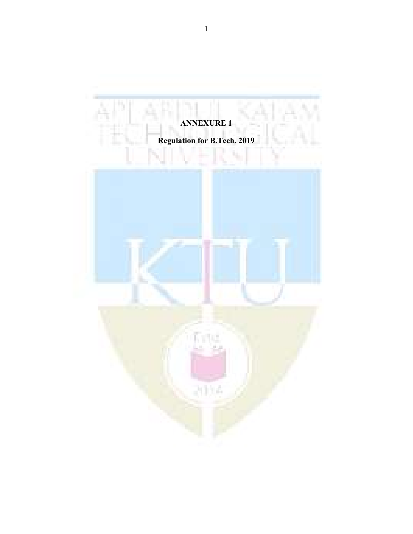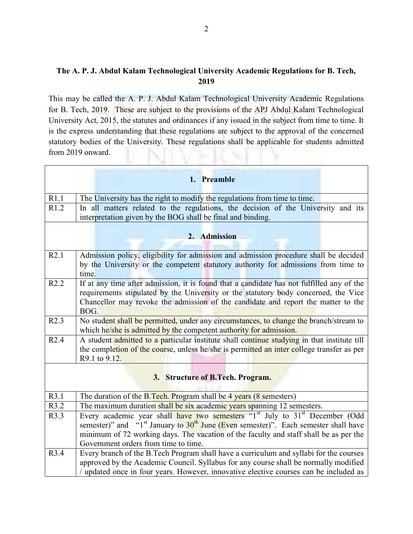## The A. P. J. Abdul Kalam Technological University Academic Regulations for B. Tech, 2019

This may be called the A. P. J. Abdul Kalam Technological University Academic Regulations for B. Tech, 2019. These are subject to the provisions of the APJ Abdul Kalam Technological University Act, 2015, the statutes and ordinances if any issued in the subject from time to time. It is the express understanding that these regulations are subject to the approval of the concerned statutory bodies of the University. These regulations shall be applicable for students admitted from 2019 onward.

|                                  | 1. Preamble                                                                                                                                                                                                                                                                                                                                |  |  |  |
|----------------------------------|--------------------------------------------------------------------------------------------------------------------------------------------------------------------------------------------------------------------------------------------------------------------------------------------------------------------------------------------|--|--|--|
| R1.1                             | The University has the right to modify the regulations from time to time.                                                                                                                                                                                                                                                                  |  |  |  |
| R1.2                             | In all matters related to the regulations, the decision of the University and its                                                                                                                                                                                                                                                          |  |  |  |
|                                  | interpretation given by the BOG shall be final and binding.                                                                                                                                                                                                                                                                                |  |  |  |
| 2. Admission                     |                                                                                                                                                                                                                                                                                                                                            |  |  |  |
| R2.1                             | Admission policy, eligibility for admission and admission procedure shall be decided<br>by the University or the competent statutory authority for admissions from time to<br>time.                                                                                                                                                        |  |  |  |
| R2.2                             | If at any time after admission, it is found that a candidate has not fulfilled any of the<br>requirements stipulated by the University or the statutory body concerned, the Vice<br>Chancellor may revoke the admission of the candidate and report the matter to the<br>BOG.                                                              |  |  |  |
| R2.3                             | No student shall be permitted, under any circumstances, to change the branch/stream to<br>which he/she is admitted by the competent authority for admission.                                                                                                                                                                               |  |  |  |
| R2.4                             | A student admitted to a particular institute shall continue studying in that institute till<br>the completion of the course, unless he/she is permitted an inter college transfer as per<br>R9.1 to 9.12.                                                                                                                                  |  |  |  |
| 3. Structure of B.Tech. Program. |                                                                                                                                                                                                                                                                                                                                            |  |  |  |
| R3.1                             | The duration of the B.Tech. Program shall be 4 years (8 semesters)                                                                                                                                                                                                                                                                         |  |  |  |
| R3.2                             | The maximum duration shall be six academic years spanning 12 semesters.                                                                                                                                                                                                                                                                    |  |  |  |
| R3.3                             | Every academic year shall have two semesters "1 <sup>st</sup> July to 31 <sup>st</sup> December (Odd<br>semester)" and "1 <sup>st</sup> January to $30th$ June (Even semester)". Each semester shall have<br>minimum of 72 working days. The vacation of the faculty and staff shall be as per the<br>Government orders from time to time. |  |  |  |
| R3.4                             | Every branch of the B.Tech Program shall have a curriculum and syllabi for the courses<br>approved by the Academic Council. Syllabus for any course shall be normally modified<br>/ updated once in four years. However, innovative elective courses can be included as                                                                    |  |  |  |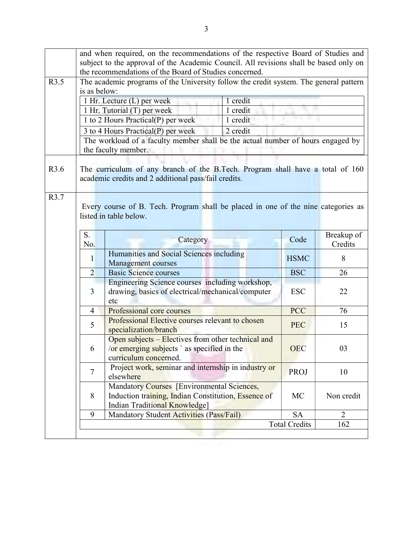|      | and when required, on the recommendations of the respective Board of Studies and      |                                                                                                                                       |             |                |  |  |
|------|---------------------------------------------------------------------------------------|---------------------------------------------------------------------------------------------------------------------------------------|-------------|----------------|--|--|
|      | subject to the approval of the Academic Council. All revisions shall be based only on |                                                                                                                                       |             |                |  |  |
|      | the recommendations of the Board of Studies concerned.                                |                                                                                                                                       |             |                |  |  |
| R3.5 | The academic programs of the University follow the credit system. The general pattern |                                                                                                                                       |             |                |  |  |
|      | is as below:                                                                          |                                                                                                                                       |             |                |  |  |
|      |                                                                                       | 1 Hr. Lecture (L) per week<br>1 credit                                                                                                |             |                |  |  |
|      |                                                                                       | 1 Hr. Tutorial (T) per week<br>1 credit                                                                                               |             |                |  |  |
|      |                                                                                       | 1 to 2 Hours Practical(P) per week<br>1 credit                                                                                        |             |                |  |  |
|      |                                                                                       | 3 to 4 Hours Practical(P) per week<br>2 credit                                                                                        |             |                |  |  |
|      |                                                                                       | The workload of a faculty member shall be the actual number of hours engaged by                                                       |             |                |  |  |
|      |                                                                                       | the faculty member.                                                                                                                   |             |                |  |  |
| R3.6 |                                                                                       | The curriculum of any branch of the B.Tech. Program shall have a total of 160<br>academic credits and 2 additional pass/fail credits. |             |                |  |  |
| R3.7 |                                                                                       |                                                                                                                                       |             |                |  |  |
|      |                                                                                       | Every course of B. Tech. Program shall be placed in one of the nine categories as                                                     |             |                |  |  |
|      |                                                                                       | listed in table below.                                                                                                                |             |                |  |  |
|      |                                                                                       |                                                                                                                                       |             |                |  |  |
|      | S.                                                                                    |                                                                                                                                       |             | Breakup of     |  |  |
|      | No.                                                                                   | Category                                                                                                                              | Code        | Credits        |  |  |
|      | 1                                                                                     | Humanities and Social Sciences including                                                                                              | <b>HSMC</b> | 8              |  |  |
|      |                                                                                       | <b>Management courses</b>                                                                                                             |             |                |  |  |
|      | $\overline{2}$                                                                        | <b>Basic Science courses</b>                                                                                                          | <b>BSC</b>  | 26             |  |  |
|      | 3                                                                                     | Engineering Science courses including workshop,<br>drawing, basics of electrical/mechanical/computer                                  | <b>ESC</b>  | 22             |  |  |
|      |                                                                                       | etc                                                                                                                                   |             |                |  |  |
|      | 4                                                                                     | Professional core courses                                                                                                             | <b>PCC</b>  | 76             |  |  |
|      |                                                                                       | Professional Elective courses relevant to chosen                                                                                      |             |                |  |  |
|      | 5                                                                                     | specialization/branch                                                                                                                 | <b>PEC</b>  | 15             |  |  |
|      |                                                                                       | Open subjects - Electives from other technical and                                                                                    |             |                |  |  |
|      | 6.                                                                                    | /or emerging subjects ` as specified in the                                                                                           | <b>OEC</b>  | 03             |  |  |
|      |                                                                                       | curriculum concerned.                                                                                                                 |             |                |  |  |
|      |                                                                                       | Project work, seminar and internship in industry or                                                                                   |             |                |  |  |
|      | $\overline{7}$                                                                        | elsewhere                                                                                                                             | <b>PROJ</b> | 10             |  |  |
|      |                                                                                       | Mandatory Courses [Environmental Sciences,                                                                                            |             |                |  |  |
|      | 8                                                                                     | Induction training, Indian Constitution, Essence of                                                                                   | MC          | Non credit     |  |  |
|      |                                                                                       | Indian Traditional Knowledge]                                                                                                         |             |                |  |  |
|      | 9                                                                                     | Mandatory Student Activities (Pass/Fail)                                                                                              | <b>SA</b>   | $\overline{2}$ |  |  |
|      | <b>Total Credits</b><br>162                                                           |                                                                                                                                       |             |                |  |  |
|      |                                                                                       |                                                                                                                                       |             |                |  |  |
|      |                                                                                       |                                                                                                                                       |             |                |  |  |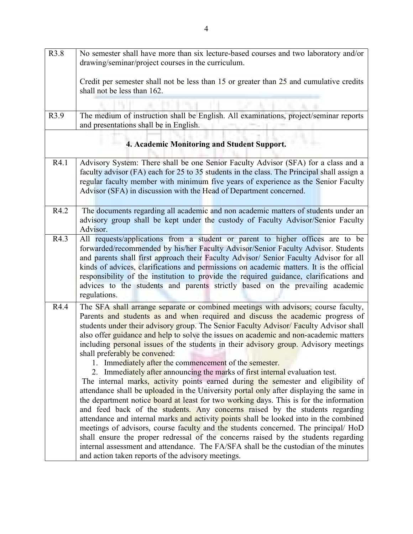| R3.8 | No semester shall have more than six lecture-based courses and two laboratory and/or<br>drawing/seminar/project courses in the curriculum.                                                                                                                                                                                                                                                                                                                                                                                                                                                                                                                                                                                                                                                                                                                                                                                                                                                                                                                                                                                                                                                                                                                                                                                                                                                                |
|------|-----------------------------------------------------------------------------------------------------------------------------------------------------------------------------------------------------------------------------------------------------------------------------------------------------------------------------------------------------------------------------------------------------------------------------------------------------------------------------------------------------------------------------------------------------------------------------------------------------------------------------------------------------------------------------------------------------------------------------------------------------------------------------------------------------------------------------------------------------------------------------------------------------------------------------------------------------------------------------------------------------------------------------------------------------------------------------------------------------------------------------------------------------------------------------------------------------------------------------------------------------------------------------------------------------------------------------------------------------------------------------------------------------------|
|      | Credit per semester shall not be less than 15 or greater than 25 and cumulative credits<br>shall not be less than 162.                                                                                                                                                                                                                                                                                                                                                                                                                                                                                                                                                                                                                                                                                                                                                                                                                                                                                                                                                                                                                                                                                                                                                                                                                                                                                    |
|      |                                                                                                                                                                                                                                                                                                                                                                                                                                                                                                                                                                                                                                                                                                                                                                                                                                                                                                                                                                                                                                                                                                                                                                                                                                                                                                                                                                                                           |
| R3.9 | The medium of instruction shall be English. All examinations, project/seminar reports<br>and presentations shall be in English.                                                                                                                                                                                                                                                                                                                                                                                                                                                                                                                                                                                                                                                                                                                                                                                                                                                                                                                                                                                                                                                                                                                                                                                                                                                                           |
|      | 4. Academic Monitoring and Student Support.                                                                                                                                                                                                                                                                                                                                                                                                                                                                                                                                                                                                                                                                                                                                                                                                                                                                                                                                                                                                                                                                                                                                                                                                                                                                                                                                                               |
| R4.1 | Advisory System: There shall be one Senior Faculty Advisor (SFA) for a class and a<br>faculty advisor (FA) each for 25 to 35 students in the class. The Principal shall assign a<br>regular faculty member with minimum five years of experience as the Senior Faculty<br>Advisor (SFA) in discussion with the Head of Department concerned.                                                                                                                                                                                                                                                                                                                                                                                                                                                                                                                                                                                                                                                                                                                                                                                                                                                                                                                                                                                                                                                              |
| R4.2 | The documents regarding all academic and non academic matters of students under an<br>advisory group shall be kept under the custody of Faculty Advisor/Senior Faculty<br>Advisor.                                                                                                                                                                                                                                                                                                                                                                                                                                                                                                                                                                                                                                                                                                                                                                                                                                                                                                                                                                                                                                                                                                                                                                                                                        |
| R4.3 | All requests/applications from a student or parent to higher offices are to be<br>forwarded/recommended by his/her Faculty Advisor/Senior Faculty Advisor. Students<br>and parents shall first approach their Faculty Advisor/ Senior Faculty Advisor for all<br>kinds of advices, clarifications and permissions on academic matters. It is the official<br>responsibility of the institution to provide the required guidance, clarifications and<br>advices to the students and parents strictly based on the prevailing academic<br>regulations.                                                                                                                                                                                                                                                                                                                                                                                                                                                                                                                                                                                                                                                                                                                                                                                                                                                      |
| R4.4 | The SFA shall arrange separate or combined meetings with advisors; course faculty,<br>Parents and students as and when required and discuss the academic progress of<br>students under their advisory group. The Senior Faculty Advisor/ Faculty Advisor shall<br>also offer guidance and help to solve the issues on academic and non-academic matters<br>including personal issues of the students in their advisory group. Advisory meetings<br>shall preferably be convened:<br>1. Immediately after the commencement of the semester.<br>2. Immediately after announcing the marks of first internal evaluation test.<br>The internal marks, activity points earned during the semester and eligibility of<br>attendance shall be uploaded in the University portal only after displaying the same in<br>the department notice board at least for two working days. This is for the information<br>and feed back of the students. Any concerns raised by the students regarding<br>attendance and internal marks and activity points shall be looked into in the combined<br>meetings of advisors, course faculty and the students concerned. The principal/ HoD<br>shall ensure the proper redressal of the concerns raised by the students regarding<br>internal assessment and attendance. The FA/SFA shall be the custodian of the minutes<br>and action taken reports of the advisory meetings. |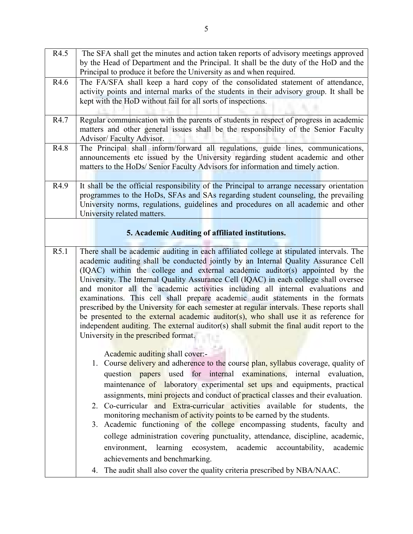| R4.5 | The SFA shall get the minutes and action taken reports of advisory meetings approved                                                                                            |  |  |  |  |
|------|---------------------------------------------------------------------------------------------------------------------------------------------------------------------------------|--|--|--|--|
|      | by the Head of Department and the Principal. It shall be the duty of the HoD and the                                                                                            |  |  |  |  |
|      | Principal to produce it before the University as and when required.                                                                                                             |  |  |  |  |
| R4.6 | The FA/SFA shall keep a hard copy of the consolidated statement of attendance,                                                                                                  |  |  |  |  |
|      | activity points and internal marks of the students in their advisory group. It shall be                                                                                         |  |  |  |  |
|      | kept with the HoD without fail for all sorts of inspections.                                                                                                                    |  |  |  |  |
|      |                                                                                                                                                                                 |  |  |  |  |
| R4.7 | Regular communication with the parents of students in respect of progress in academic                                                                                           |  |  |  |  |
|      | matters and other general issues shall be the responsibility of the Senior Faculty                                                                                              |  |  |  |  |
|      | Advisor/Faculty Advisor.                                                                                                                                                        |  |  |  |  |
| R4.8 | The Principal shall inform/forward all regulations, guide lines, communications,                                                                                                |  |  |  |  |
|      | announcements etc issued by the University regarding student academic and other                                                                                                 |  |  |  |  |
|      | matters to the HoDs/ Senior Faculty Advisors for information and timely action.                                                                                                 |  |  |  |  |
| R4.9 | It shall be the official responsibility of the Principal to arrange necessary orientation                                                                                       |  |  |  |  |
|      | programmes to the HoDs, SFAs and SAs regarding student counseling, the prevailing                                                                                               |  |  |  |  |
|      | University norms, regulations, guidelines and procedures on all academic and other                                                                                              |  |  |  |  |
|      | University related matters.                                                                                                                                                     |  |  |  |  |
|      |                                                                                                                                                                                 |  |  |  |  |
|      | 5. Academic Auditing of affiliated institutions.                                                                                                                                |  |  |  |  |
|      |                                                                                                                                                                                 |  |  |  |  |
| R5.1 | There shall be academic auditing in each affiliated college at stipulated intervals. The                                                                                        |  |  |  |  |
|      | academic auditing shall be conducted jointly by an Internal Quality Assurance Cell                                                                                              |  |  |  |  |
|      | (IQAC) within the college and external academic auditor(s) appointed by the                                                                                                     |  |  |  |  |
|      | University. The Internal Quality Assurance Cell (IQAC) in each college shall oversee                                                                                            |  |  |  |  |
|      | and monitor all the academic activities including all internal evaluations and                                                                                                  |  |  |  |  |
|      | examinations. This cell shall prepare academic audit statements in the formats                                                                                                  |  |  |  |  |
|      | prescribed by the University for each semester at regular intervals. These reports shall                                                                                        |  |  |  |  |
|      | be presented to the external academic auditor(s), who shall use it as reference for<br>independent auditing. The external auditor(s) shall submit the final audit report to the |  |  |  |  |
|      | University in the prescribed format.                                                                                                                                            |  |  |  |  |
|      |                                                                                                                                                                                 |  |  |  |  |
|      | Academic auditing shall cover:-                                                                                                                                                 |  |  |  |  |
|      | 1. Course delivery and adherence to the course plan, syllabus coverage, quality of                                                                                              |  |  |  |  |
|      | question papers used for internal examinations, internal evaluation,                                                                                                            |  |  |  |  |
|      | maintenance of laboratory experimental set ups and equipments, practical                                                                                                        |  |  |  |  |
|      | assignments, mini projects and conduct of practical classes and their evaluation.                                                                                               |  |  |  |  |
|      | 2. Co-curricular and Extra-curricular activities available for students, the                                                                                                    |  |  |  |  |
|      | monitoring mechanism of activity points to be earned by the students.                                                                                                           |  |  |  |  |
|      | 3. Academic functioning of the college encompassing students, faculty and                                                                                                       |  |  |  |  |
|      | college administration covering punctuality, attendance, discipline, academic,                                                                                                  |  |  |  |  |
|      |                                                                                                                                                                                 |  |  |  |  |
|      | environment, learning ecosystem,<br>academic<br>accountability,<br>academic                                                                                                     |  |  |  |  |
|      | achievements and benchmarking.                                                                                                                                                  |  |  |  |  |
|      | 4. The audit shall also cover the quality criteria prescribed by NBA/NAAC.                                                                                                      |  |  |  |  |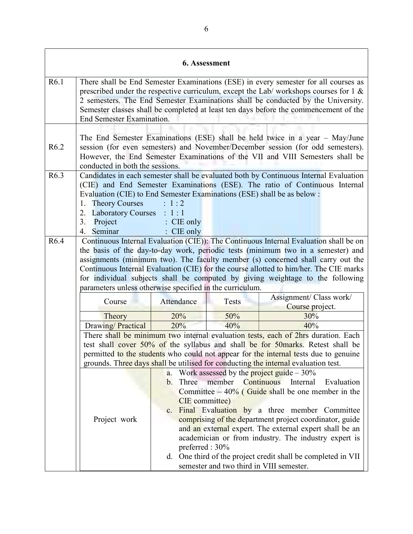|                  |                                                                                                                                                                                                                                                                                                                                                                                                                                                                                                                                 |                                                                         | 6. Assessment                                                 |                                                                                                                                                                                                                                                                                                                                                                                                                                  |
|------------------|---------------------------------------------------------------------------------------------------------------------------------------------------------------------------------------------------------------------------------------------------------------------------------------------------------------------------------------------------------------------------------------------------------------------------------------------------------------------------------------------------------------------------------|-------------------------------------------------------------------------|---------------------------------------------------------------|----------------------------------------------------------------------------------------------------------------------------------------------------------------------------------------------------------------------------------------------------------------------------------------------------------------------------------------------------------------------------------------------------------------------------------|
| R6.1             | There shall be End Semester Examinations (ESE) in every semester for all courses as<br>prescribed under the respective curriculum, except the Lab/ workshops courses for $1 \&$<br>2 semesters. The End Semester Examinations shall be conducted by the University.<br>Semester classes shall be completed at least ten days before the commencement of the<br>End Semester Examination.                                                                                                                                        |                                                                         |                                                               |                                                                                                                                                                                                                                                                                                                                                                                                                                  |
| R <sub>6.2</sub> | conducted in both the sessions.                                                                                                                                                                                                                                                                                                                                                                                                                                                                                                 |                                                                         |                                                               | The End Semester Examinations (ESE) shall be held twice in a year - May/June<br>session (for even semesters) and November/December session (for odd semesters).<br>However, the End Semester Examinations of the VII and VIII Semesters shall be                                                                                                                                                                                 |
| R6.3             | Evaluation (CIE) to End Semester Examinations (ESE) shall be as below :<br><b>Theory Courses</b><br>1.<br><b>Laboratory Courses</b><br>2.<br>3.<br>Project<br>4. Seminar                                                                                                                                                                                                                                                                                                                                                        | : 1:2<br>: 1:1<br>: CIE only<br>$\therefore$ CIE only                   |                                                               | Candidates in each semester shall be evaluated both by Continuous Internal Evaluation<br>(CIE) and End Semester Examinations (ESE). The ratio of Continuous Internal                                                                                                                                                                                                                                                             |
| R <sub>6.4</sub> | Continuous Internal Evaluation (CIE)): The Continuous Internal Evaluation shall be on<br>the basis of the day-to-day work, periodic tests (minimum two in a semester) and<br>assignments (minimum two). The faculty member (s) concerned shall carry out the<br>Continuous Internal Evaluation (CIE) for the course allotted to him/her. The CIE marks<br>for individual subjects shall be computed by giving weightage to the following<br>parameters unless otherwise specified in the curriculum.<br>Assignment/ Class work/ |                                                                         |                                                               |                                                                                                                                                                                                                                                                                                                                                                                                                                  |
|                  | Course                                                                                                                                                                                                                                                                                                                                                                                                                                                                                                                          | Attendance                                                              | <b>Tests</b>                                                  | Course project.                                                                                                                                                                                                                                                                                                                                                                                                                  |
|                  | Theory                                                                                                                                                                                                                                                                                                                                                                                                                                                                                                                          | 20%                                                                     | 50%                                                           | 30%                                                                                                                                                                                                                                                                                                                                                                                                                              |
|                  | Drawing/Practical                                                                                                                                                                                                                                                                                                                                                                                                                                                                                                               | 20%                                                                     | 40%                                                           | 40%                                                                                                                                                                                                                                                                                                                                                                                                                              |
|                  |                                                                                                                                                                                                                                                                                                                                                                                                                                                                                                                                 |                                                                         |                                                               | There shall be minimum two internal evaluation tests, each of 2hrs duration. Each<br>test shall cover 50% of the syllabus and shall be for 50 marks. Retest shall be                                                                                                                                                                                                                                                             |
|                  |                                                                                                                                                                                                                                                                                                                                                                                                                                                                                                                                 |                                                                         |                                                               | permitted to the students who could not appear for the internal tests due to genuine                                                                                                                                                                                                                                                                                                                                             |
|                  |                                                                                                                                                                                                                                                                                                                                                                                                                                                                                                                                 |                                                                         |                                                               | grounds. Three days shall be utilised for conducting the internal evaluation test.                                                                                                                                                                                                                                                                                                                                               |
|                  | Project work                                                                                                                                                                                                                                                                                                                                                                                                                                                                                                                    | a.<br>Three<br>$\mathbf{b}$ .<br>CIE committee)<br>c.<br>preferred: 30% | member Continuous<br>semester and two third in VIII semester. | Work assessed by the <b>project</b> guide $-30\%$<br>Internal<br>Evaluation<br>Committee $-40\%$ (Guide shall be one member in the<br>Final Evaluation by a three member Committee<br>comprising of the department project coordinator, guide<br>and an external expert. The external expert shall be an<br>academician or from industry. The industry expert is<br>d. One third of the project credit shall be completed in VII |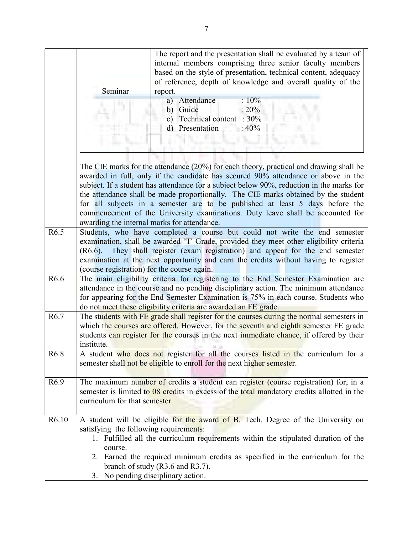|                  | Seminar                                                                                                                                                                                                                                                                                                                           | The report and the presentation shall be evaluated by a team of<br>internal members comprising three senior faculty members<br>based on the style of presentation, technical content, adequacy<br>of reference, depth of knowledge and overall quality of the<br>report.<br>a) Attendance<br>:10%<br>b) Guide<br>$: 20\%$<br>Technical content : 30%<br>$\mathbf{c})$<br>Presentation<br>$\rm d$<br>:40%                                                                                                                         |  |  |
|------------------|-----------------------------------------------------------------------------------------------------------------------------------------------------------------------------------------------------------------------------------------------------------------------------------------------------------------------------------|----------------------------------------------------------------------------------------------------------------------------------------------------------------------------------------------------------------------------------------------------------------------------------------------------------------------------------------------------------------------------------------------------------------------------------------------------------------------------------------------------------------------------------|--|--|
|                  | awarding the internal marks for attendance.                                                                                                                                                                                                                                                                                       | The CIE marks for the attendance (20%) for each theory, practical and drawing shall be<br>awarded in full, only if the candidate has secured 90% attendance or above in the<br>subject. If a student has attendance for a subject below 90%, reduction in the marks for<br>the attendance shall be made proportionally. The CIE marks obtained by the student<br>for all subjects in a semester are to be published at least 5 days before the<br>commencement of the University examinations. Duty leave shall be accounted for |  |  |
| R <sub>6.5</sub> | $(R6.6)$ .<br>(course registration) for the course again.                                                                                                                                                                                                                                                                         | Students, who have completed a course but could not write the end semester<br>examination, shall be awarded "I' Grade, provided they meet other eligibility criteria<br>They shall register (exam registration) and appear for the end semester<br>examination at the next opportunity and earn the credits without having to register                                                                                                                                                                                           |  |  |
| R <sub>6.6</sub> | The main eligibility criteria for registering to the End Semester Examination are<br>attendance in the course and no pending disciplinary action. The minimum attendance<br>for appearing for the End Semester Examination is 75% in each course. Students who<br>do not meet these eligibility criteria are awarded an FE grade. |                                                                                                                                                                                                                                                                                                                                                                                                                                                                                                                                  |  |  |
| R <sub>6.7</sub> | institute.                                                                                                                                                                                                                                                                                                                        | The students with FE grade shall register for the courses during the normal semesters in<br>which the courses are offered. However, for the seventh and eighth semester FE grade<br>students can register for the courses in the next immediate chance, if offered by their                                                                                                                                                                                                                                                      |  |  |
| R <sub>6.8</sub> |                                                                                                                                                                                                                                                                                                                                   | A student who does not register for all the courses listed in the curriculum for a<br>semester shall not be eligible to enroll for the next higher semester.                                                                                                                                                                                                                                                                                                                                                                     |  |  |
| R <sub>6.9</sub> | curriculum for that semester.                                                                                                                                                                                                                                                                                                     | The maximum number of credits a student can register (course registration) for, in a<br>semester is limited to 08 credits in excess of the total mandatory credits allotted in the                                                                                                                                                                                                                                                                                                                                               |  |  |
| R6.10            | satisfying the following requirements:<br>course.<br>3. No pending disciplinary action.                                                                                                                                                                                                                                           | A student will be eligible for the award of B. Tech. Degree of the University on<br>1. Fulfilled all the curriculum requirements within the stipulated duration of the<br>2. Earned the required minimum credits as specified in the curriculum for the<br>branch of study $(R3.6$ and $R3.7)$ .                                                                                                                                                                                                                                 |  |  |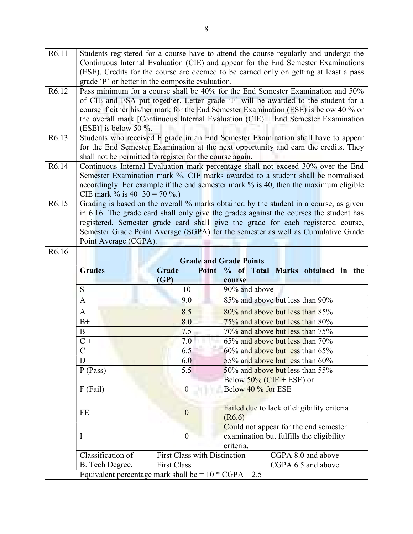| R6.11 | Students registered for a course have to attend the course regularly and undergo the  |                       |                                                                                        |  |  |
|-------|---------------------------------------------------------------------------------------|-----------------------|----------------------------------------------------------------------------------------|--|--|
|       | Continuous Internal Evaluation (CIE) and appear for the End Semester Examinations     |                       |                                                                                        |  |  |
|       | (ESE). Credits for the course are deemed to be earned only on getting at least a pass |                       |                                                                                        |  |  |
|       | grade 'P' or better in the composite evaluation.                                      |                       |                                                                                        |  |  |
| R6.12 | Pass minimum for a course shall be 40% for the End Semester Examination and 50%       |                       |                                                                                        |  |  |
|       |                                                                                       |                       | of CIE and ESA put together. Letter grade 'F' will be awarded to the student for a     |  |  |
|       |                                                                                       |                       | course if either his/her mark for the End Semester Examination (ESE) is below 40 % or  |  |  |
|       |                                                                                       |                       | the overall mark [Continuous Internal Evaluation $(CIE)$ + End Semester Examination    |  |  |
|       | $(ESE)$ ] is below 50 %.                                                              |                       |                                                                                        |  |  |
| R6.13 |                                                                                       |                       | Students who received F grade in an End Semester Examination shall have to appear      |  |  |
|       |                                                                                       |                       | for the End Semester Examination at the next opportunity and earn the credits. They    |  |  |
|       | shall not be permitted to register for the course again.                              |                       |                                                                                        |  |  |
| R6.14 |                                                                                       |                       | Continuous Internal Evaluation mark percentage shall not exceed 30% over the End       |  |  |
|       |                                                                                       |                       | Semester Examination mark %. CIE marks awarded to a student shall be normalised        |  |  |
|       |                                                                                       |                       | accordingly. For example if the end semester mark % is 40, then the maximum eligible   |  |  |
| R6.15 | CIE mark % is $40+30 = 70$ %.)                                                        |                       | Grading is based on the overall % marks obtained by the student in a course, as given  |  |  |
|       |                                                                                       |                       | in 6.16. The grade card shall only give the grades against the courses the student has |  |  |
|       |                                                                                       |                       | registered. Semester grade card shall give the grade for each registered course,       |  |  |
|       |                                                                                       |                       | Semester Grade Point Average (SGPA) for the semester as well as Cumulative Grade       |  |  |
|       | Point Average (CGPA).                                                                 |                       |                                                                                        |  |  |
| R6.16 |                                                                                       |                       |                                                                                        |  |  |
|       | <b>Grade and Grade Points</b>                                                         |                       |                                                                                        |  |  |
|       | <b>Grades</b>                                                                         | <b>Grade</b><br>Point | % of Total Marks obtained in the                                                       |  |  |
|       |                                                                                       | (GP)                  | course                                                                                 |  |  |
|       | ${\bf S}$                                                                             | 10                    | 90% and above                                                                          |  |  |
|       | $A+$                                                                                  | 9.0                   | 85% and above but less than 90%                                                        |  |  |
|       | $\mathbf{A}$                                                                          | 8.5                   | 80% and above but less than 85%                                                        |  |  |
|       | $B+$                                                                                  | 8.0                   | 75% and above but less than 80%                                                        |  |  |
|       | B                                                                                     | 7.5                   | 70% and above but less than 75%                                                        |  |  |
|       | $C +$                                                                                 | 7.0                   | 65% and above but less than 70%                                                        |  |  |
|       | 6.5<br>60% and above but less than 65%<br>$\mathsf{C}$                                |                       |                                                                                        |  |  |
|       | D                                                                                     | 6.0                   | 55% and above but less than 60%                                                        |  |  |
|       | P(Pass)                                                                               | 5.5                   | 50% and above but less than 55%                                                        |  |  |
|       |                                                                                       |                       | Below $50\%$ (CIE + ESE) or                                                            |  |  |

| D                 | 6.0                                      | 55% and above but less than 60%                                                                |  |  |
|-------------------|------------------------------------------|------------------------------------------------------------------------------------------------|--|--|
| $P$ (Pass)        | 5.5                                      | 50% and above but less than 55%                                                                |  |  |
| $F$ (Fail)        |                                          | Below $50\%$ (CIE + ESE) or<br>Below 40 % for ESE                                              |  |  |
| FE                |                                          | Failed due to lack of eligibility criteria<br>(R6.6)                                           |  |  |
|                   |                                          | Could not appear for the end semester<br>examination but fulfills the eligibility<br>criteria. |  |  |
| Classification of | <b>First Class with Distinction</b>      | CGPA 8.0 and above                                                                             |  |  |
| B. Tech Degree.   | <b>First Class</b><br>CGPA 6.5 and above |                                                                                                |  |  |

Equivalent percentage mark shall be =  $10 * CGPA - 2.5$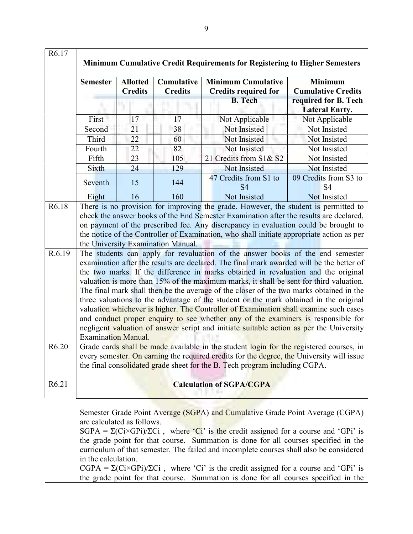| R6.17             |                                                                                                                                                                                                                                                                                                                                                                                                                                                                                                                                                                                                                                                                                                                                                                                                                                                                                                                                                                                                                                                                                                                                                                                                                                                                  |                                                                                                                                                                                                                                                                    |                                     | <b>Minimum Cumulative Credit Requirements for Registering to Higher Semesters</b>                                                                                                                                                                                                                                                                                                                                                                                                                                                                                          |                                               |
|-------------------|------------------------------------------------------------------------------------------------------------------------------------------------------------------------------------------------------------------------------------------------------------------------------------------------------------------------------------------------------------------------------------------------------------------------------------------------------------------------------------------------------------------------------------------------------------------------------------------------------------------------------------------------------------------------------------------------------------------------------------------------------------------------------------------------------------------------------------------------------------------------------------------------------------------------------------------------------------------------------------------------------------------------------------------------------------------------------------------------------------------------------------------------------------------------------------------------------------------------------------------------------------------|--------------------------------------------------------------------------------------------------------------------------------------------------------------------------------------------------------------------------------------------------------------------|-------------------------------------|----------------------------------------------------------------------------------------------------------------------------------------------------------------------------------------------------------------------------------------------------------------------------------------------------------------------------------------------------------------------------------------------------------------------------------------------------------------------------------------------------------------------------------------------------------------------------|-----------------------------------------------|
|                   | <b>Semester</b>                                                                                                                                                                                                                                                                                                                                                                                                                                                                                                                                                                                                                                                                                                                                                                                                                                                                                                                                                                                                                                                                                                                                                                                                                                                  | <b>Allotted</b><br><b>Credits</b>                                                                                                                                                                                                                                  | <b>Cumulative</b><br><b>Credits</b> | <b>Minimum Cumulative</b><br><b>Credits required for</b>                                                                                                                                                                                                                                                                                                                                                                                                                                                                                                                   | <b>Minimum</b><br><b>Cumulative Credits</b>   |
|                   |                                                                                                                                                                                                                                                                                                                                                                                                                                                                                                                                                                                                                                                                                                                                                                                                                                                                                                                                                                                                                                                                                                                                                                                                                                                                  |                                                                                                                                                                                                                                                                    |                                     | <b>B.</b> Tech                                                                                                                                                                                                                                                                                                                                                                                                                                                                                                                                                             | required for B. Tech<br><b>Lateral Enrty.</b> |
|                   | First                                                                                                                                                                                                                                                                                                                                                                                                                                                                                                                                                                                                                                                                                                                                                                                                                                                                                                                                                                                                                                                                                                                                                                                                                                                            | 17                                                                                                                                                                                                                                                                 | 17                                  | Not Applicable                                                                                                                                                                                                                                                                                                                                                                                                                                                                                                                                                             | Not Applicable                                |
|                   | Second                                                                                                                                                                                                                                                                                                                                                                                                                                                                                                                                                                                                                                                                                                                                                                                                                                                                                                                                                                                                                                                                                                                                                                                                                                                           | 21                                                                                                                                                                                                                                                                 | 38                                  | Not Insisted                                                                                                                                                                                                                                                                                                                                                                                                                                                                                                                                                               | Not Insisted                                  |
|                   | Third                                                                                                                                                                                                                                                                                                                                                                                                                                                                                                                                                                                                                                                                                                                                                                                                                                                                                                                                                                                                                                                                                                                                                                                                                                                            | 22                                                                                                                                                                                                                                                                 | 60                                  | Not Insisted                                                                                                                                                                                                                                                                                                                                                                                                                                                                                                                                                               | Not Insisted                                  |
|                   | Fourth                                                                                                                                                                                                                                                                                                                                                                                                                                                                                                                                                                                                                                                                                                                                                                                                                                                                                                                                                                                                                                                                                                                                                                                                                                                           | 22                                                                                                                                                                                                                                                                 | 82                                  | Not Insisted                                                                                                                                                                                                                                                                                                                                                                                                                                                                                                                                                               | Not Insisted                                  |
|                   | Fifth                                                                                                                                                                                                                                                                                                                                                                                                                                                                                                                                                                                                                                                                                                                                                                                                                                                                                                                                                                                                                                                                                                                                                                                                                                                            | 23                                                                                                                                                                                                                                                                 | 105                                 | 21 Credits from S1& S2                                                                                                                                                                                                                                                                                                                                                                                                                                                                                                                                                     | Not Insisted                                  |
|                   | Sixth                                                                                                                                                                                                                                                                                                                                                                                                                                                                                                                                                                                                                                                                                                                                                                                                                                                                                                                                                                                                                                                                                                                                                                                                                                                            | 24                                                                                                                                                                                                                                                                 | 129                                 | Not Insisted                                                                                                                                                                                                                                                                                                                                                                                                                                                                                                                                                               | Not Insisted                                  |
|                   | Seventh                                                                                                                                                                                                                                                                                                                                                                                                                                                                                                                                                                                                                                                                                                                                                                                                                                                                                                                                                                                                                                                                                                                                                                                                                                                          | 15                                                                                                                                                                                                                                                                 | 144                                 | 47 Credits from S1 to<br><b>S4</b>                                                                                                                                                                                                                                                                                                                                                                                                                                                                                                                                         | 09 Credits from S3 to<br>S <sub>4</sub>       |
|                   | Eight                                                                                                                                                                                                                                                                                                                                                                                                                                                                                                                                                                                                                                                                                                                                                                                                                                                                                                                                                                                                                                                                                                                                                                                                                                                            | 16                                                                                                                                                                                                                                                                 | 160                                 | Not Insisted                                                                                                                                                                                                                                                                                                                                                                                                                                                                                                                                                               | Not Insisted                                  |
| R6.18<br>R.6.19   | There is no provision for improving the grade. However, the student is permitted to<br>check the answer books of the End Semester Examination after the results are declared,<br>on payment of the prescribed fee. Any discrepancy in evaluation could be brought to<br>the notice of the Controller of Examination, who shall initiate appropriate action as per<br>the University Examination Manual.<br>The students can apply for revaluation of the answer books of the end semester<br>examination after the results are declared. The final mark awarded will be the better of<br>the two marks. If the difference in marks obtained in revaluation and the original<br>valuation is more than 15% of the maximum marks, it shall be sent for third valuation.<br>The final mark shall then be the average of the closer of the two marks obtained in the<br>three valuations to the advantage of the student or the mark obtained in the original<br>valuation whichever is higher. The Controller of Examination shall examine such cases<br>and conduct proper enquiry to see whether any of the examiners is responsible for<br>negligent valuation of answer script and initiate suitable action as per the University<br><b>Examination Manual.</b> |                                                                                                                                                                                                                                                                    |                                     |                                                                                                                                                                                                                                                                                                                                                                                                                                                                                                                                                                            |                                               |
| R6.20             |                                                                                                                                                                                                                                                                                                                                                                                                                                                                                                                                                                                                                                                                                                                                                                                                                                                                                                                                                                                                                                                                                                                                                                                                                                                                  | Grade cards shall be made available in the student login for the registered courses, in<br>every semester. On earning the required credits for the degree, the University will issue<br>the final consolidated grade sheet for the B. Tech program including CGPA. |                                     |                                                                                                                                                                                                                                                                                                                                                                                                                                                                                                                                                                            |                                               |
| R <sub>6.21</sub> |                                                                                                                                                                                                                                                                                                                                                                                                                                                                                                                                                                                                                                                                                                                                                                                                                                                                                                                                                                                                                                                                                                                                                                                                                                                                  |                                                                                                                                                                                                                                                                    |                                     | <b>Calculation of SGPA/CGPA</b>                                                                                                                                                                                                                                                                                                                                                                                                                                                                                                                                            |                                               |
|                   | are calculated as follows.<br>in the calculation.                                                                                                                                                                                                                                                                                                                                                                                                                                                                                                                                                                                                                                                                                                                                                                                                                                                                                                                                                                                                                                                                                                                                                                                                                |                                                                                                                                                                                                                                                                    |                                     | Semester Grade Point Average (SGPA) and Cumulative Grade Point Average (CGPA)<br>$SGPA = \Sigma(Ci \times GPi)/\Sigma Ci$ , where 'Ci' is the credit assigned for a course and 'GPi' is<br>the grade point for that course. Summation is done for all courses specified in the<br>curriculum of that semester. The failed and incomplete courses shall also be considered<br>$CGPA = \Sigma(Ci \times GPi)/\Sigma Ci$ , where 'Ci' is the credit assigned for a course and 'GPi' is<br>the grade point for that course. Summation is done for all courses specified in the |                                               |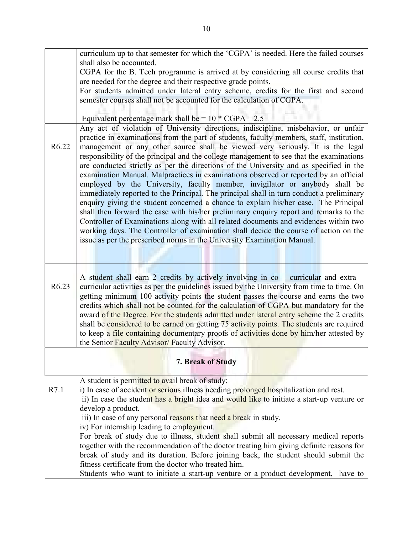|                   | curriculum up to that semester for which the 'CGPA' is needed. Here the failed courses                                                                                              |
|-------------------|-------------------------------------------------------------------------------------------------------------------------------------------------------------------------------------|
|                   | shall also be accounted.                                                                                                                                                            |
|                   | CGPA for the B. Tech programme is arrived at by considering all course credits that<br>are needed for the degree and their respective grade points.                                 |
|                   | For students admitted under lateral entry scheme, credits for the first and second                                                                                                  |
|                   | semester courses shall not be accounted for the calculation of CGPA.                                                                                                                |
|                   |                                                                                                                                                                                     |
|                   | Equivalent percentage mark shall be = $10 * CGPA - 2.5$                                                                                                                             |
|                   | Any act of violation of University directions, indiscipline, misbehavior, or unfair                                                                                                 |
|                   | practice in examinations from the part of students, faculty members, staff, institution,                                                                                            |
| R <sub>6.22</sub> | management or any other source shall be viewed very seriously. It is the legal                                                                                                      |
|                   | responsibility of the principal and the college management to see that the examinations                                                                                             |
|                   | are conducted strictly as per the directions of the University and as specified in the                                                                                              |
|                   | examination Manual. Malpractices in examinations observed or reported by an official                                                                                                |
|                   | employed by the University, faculty member, invigilator or anybody shall be                                                                                                         |
|                   | immediately reported to the Principal. The principal shall in turn conduct a preliminary                                                                                            |
|                   | enquiry giving the student concerned a chance to explain his/her case. The Principal                                                                                                |
|                   | shall then forward the case with his/her preliminary enquiry report and remarks to the                                                                                              |
|                   | Controller of Examinations along with all related documents and evidences within two<br>working days. The Controller of examination shall decide the course of action on the        |
|                   | issue as per the prescribed norms in the University Examination Manual.                                                                                                             |
|                   |                                                                                                                                                                                     |
|                   |                                                                                                                                                                                     |
|                   |                                                                                                                                                                                     |
|                   | A student shall earn 2 credits by actively involving in co – curricular and extra –                                                                                                 |
| R6.23             | curricular activities as per the guidelines issued by the University from time to time. On                                                                                          |
|                   | getting minimum 100 activity points the student passes the course and earns the two                                                                                                 |
|                   | credits which shall not be counted for the calculation of CGPA but mandatory for the                                                                                                |
|                   | award of the Degree. For the students admitted under lateral entry scheme the 2 credits                                                                                             |
|                   | shall be considered to be earned on getting 75 activity points. The students are required<br>to keep a file containing documentary proofs of activities done by him/her attested by |
|                   | the Senior Faculty Advisor/Faculty Advisor.                                                                                                                                         |
|                   |                                                                                                                                                                                     |
|                   | 7. Break of Study                                                                                                                                                                   |
|                   |                                                                                                                                                                                     |
|                   | A student is permitted to avail break of study:                                                                                                                                     |
| R7.1              | i) In case of accident or serious illness needing prolonged hospitalization and rest.                                                                                               |
|                   | ii) In case the student has a bright idea and would like to initiate a start-up venture or                                                                                          |
|                   | develop a product.                                                                                                                                                                  |
|                   | iii) In case of any personal reasons that need a break in study.<br>iv) For internship leading to employment.                                                                       |
|                   | For break of study due to illness, student shall submit all necessary medical reports                                                                                               |
|                   | together with the recommendation of the doctor treating him giving definite reasons for                                                                                             |
|                   | break of study and its duration. Before joining back, the student should submit the                                                                                                 |
|                   | fitness certificate from the doctor who treated him.                                                                                                                                |
|                   | Students who want to initiate a start-up venture or a product development,<br>have to                                                                                               |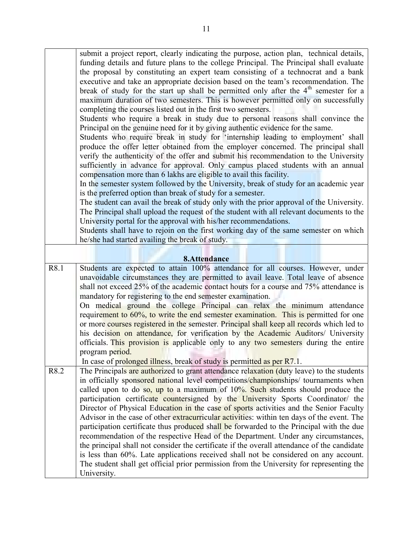|      | submit a project report, clearly indicating the purpose, action plan, technical details,<br>funding details and future plans to the college Principal. The Principal shall evaluate<br>the proposal by constituting an expert team consisting of a technocrat and a bank<br>executive and take an appropriate decision based on the team's recommendation. The<br>break of study for the start up shall be permitted only after the $4th$ semester for a<br>maximum duration of two semesters. This is however permitted only on successfully<br>completing the courses listed out in the first two semesters.<br>Students who require a break in study due to personal reasons shall convince the<br>Principal on the genuine need for it by giving authentic evidence for the same.<br>Students who require break in study for 'internship leading to employment' shall<br>produce the offer letter obtained from the employer concerned. The principal shall<br>verify the authenticity of the offer and submit his recommendation to the University<br>sufficiently in advance for approval. Only campus placed students with an annual<br>compensation more than 6 lakhs are eligible to avail this facility.<br>In the semester system followed by the University, break of study for an academic year<br>is the preferred option than break of study for a semester. |
|------|-----------------------------------------------------------------------------------------------------------------------------------------------------------------------------------------------------------------------------------------------------------------------------------------------------------------------------------------------------------------------------------------------------------------------------------------------------------------------------------------------------------------------------------------------------------------------------------------------------------------------------------------------------------------------------------------------------------------------------------------------------------------------------------------------------------------------------------------------------------------------------------------------------------------------------------------------------------------------------------------------------------------------------------------------------------------------------------------------------------------------------------------------------------------------------------------------------------------------------------------------------------------------------------------------------------------------------------------------------------------------------|
|      | The student can avail the break of study only with the prior approval of the University.<br>The Principal shall upload the request of the student with all relevant documents to the<br>University portal for the approval with his/her recommendations.<br>Students shall have to rejoin on the first working day of the same semester on which<br>he/she had started availing the break of study.                                                                                                                                                                                                                                                                                                                                                                                                                                                                                                                                                                                                                                                                                                                                                                                                                                                                                                                                                                         |
|      | 8.Attendance                                                                                                                                                                                                                                                                                                                                                                                                                                                                                                                                                                                                                                                                                                                                                                                                                                                                                                                                                                                                                                                                                                                                                                                                                                                                                                                                                                |
| R8.1 | Students are expected to attain 100% attendance for all courses. However, under<br>unavoidable circumstances they are permitted to avail leave. Total leave of absence<br>shall not exceed 25% of the academic contact hours for a course and 75% attendance is<br>mandatory for registering to the end semester examination.<br>On medical ground the college Principal can relax the minimum attendance<br>requirement to 60%, to write the end semester examination. This is permitted for one<br>or more courses registered in the semester. Principal shall keep all records which led to<br>his decision on attendance, for verification by the Academic Auditors/ University<br>officials. This provision is applicable only to any two semesters during the entire<br>program period.                                                                                                                                                                                                                                                                                                                                                                                                                                                                                                                                                                               |
| R8.2 | In case of prolonged illness, break of study is permitted as per R7.1.<br>The Principals are authorized to grant attendance relaxation (duty leave) to the students<br>in officially sponsored national level competitions/championships/ tournaments when<br>called upon to do so, up to a maximum of $10\%$ . Such students should produce the<br>participation certificate countersigned by the University Sports Coordinator/ the<br>Director of Physical Education in the case of sports activities and the Senior Faculty<br>Advisor in the case of other extracurricular activities: within ten days of the event. The<br>participation certificate thus produced shall be forwarded to the Principal with the due<br>recommendation of the respective Head of the Department. Under any circumstances,<br>the principal shall not consider the certificate if the overall attendance of the candidate<br>is less than 60%. Late applications received shall not be considered on any account.<br>The student shall get official prior permission from the University for representing the<br>University.                                                                                                                                                                                                                                                            |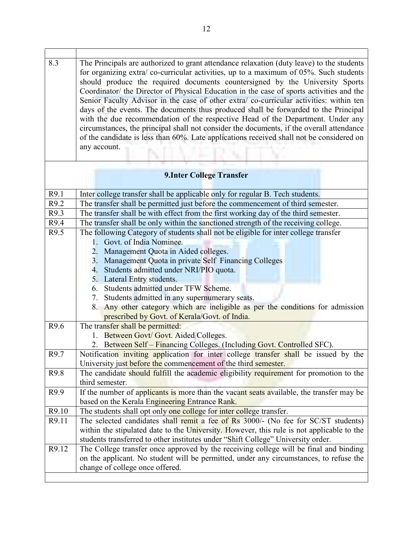| 8.3   | The Principals are authorized to grant attendance relaxation (duty leave) to the students<br>for organizing extra/co-curricular activities, up to a maximum of 05%. Such students<br>should produce the required documents countersigned by the University Sports<br>Coordinator/ the Director of Physical Education in the case of sports activities and the<br>Senior Faculty Advisor in the case of other extra/ co-curricular activities: within ten<br>days of the events. The documents thus produced shall be forwarded to the Principal<br>with the due recommendation of the respective Head of the Department. Under any<br>circumstances, the principal shall not consider the documents, if the overall attendance<br>of the candidate is less than 60%. Late applications received shall not be considered on<br>any account. |  |  |
|-------|--------------------------------------------------------------------------------------------------------------------------------------------------------------------------------------------------------------------------------------------------------------------------------------------------------------------------------------------------------------------------------------------------------------------------------------------------------------------------------------------------------------------------------------------------------------------------------------------------------------------------------------------------------------------------------------------------------------------------------------------------------------------------------------------------------------------------------------------|--|--|
|       | <b>9.Inter College Transfer</b>                                                                                                                                                                                                                                                                                                                                                                                                                                                                                                                                                                                                                                                                                                                                                                                                            |  |  |
| R9.1  | Inter college transfer shall be applicable only for regular B. Tech students.                                                                                                                                                                                                                                                                                                                                                                                                                                                                                                                                                                                                                                                                                                                                                              |  |  |
| R9.2  | The transfer shall be permitted just before the commencement of third semester.                                                                                                                                                                                                                                                                                                                                                                                                                                                                                                                                                                                                                                                                                                                                                            |  |  |
| R9.3  | The transfer shall be with effect from the first working day of the third semester.                                                                                                                                                                                                                                                                                                                                                                                                                                                                                                                                                                                                                                                                                                                                                        |  |  |
| R9.4  | The transfer shall be only within the sanctioned strength of the receiving college.                                                                                                                                                                                                                                                                                                                                                                                                                                                                                                                                                                                                                                                                                                                                                        |  |  |
| R9.5  | The following Category of students shall not be eligible for inter college transfer<br>1. Govt. of India Nominee.<br>2. Management Quota in Aided colleges.<br>3. Management Quota in private Self Financing Colleges<br>4. Students admitted under NRI/PIO quota.<br>5. Lateral Entry students.                                                                                                                                                                                                                                                                                                                                                                                                                                                                                                                                           |  |  |
|       | 6. Students admitted under TFW Scheme.<br>7. Students admitted in any supernumerary seats.<br>Any other category which are ineligible as per the conditions for admission<br>8.<br>prescribed by Govt. of Kerala/Govt. of India.                                                                                                                                                                                                                                                                                                                                                                                                                                                                                                                                                                                                           |  |  |
| R9.6  | The transfer shall be permitted:<br>1. Between Govt/ Govt. Aided Colleges.<br>2. Between Self - Financing Colleges. (Including Govt. Controlled SFC).                                                                                                                                                                                                                                                                                                                                                                                                                                                                                                                                                                                                                                                                                      |  |  |
| R9.7  | Notification inviting application for inter college transfer shall be issued by the<br>University just before the commencement of the third semester.                                                                                                                                                                                                                                                                                                                                                                                                                                                                                                                                                                                                                                                                                      |  |  |
| R9.8  | The candidate should fulfill the academic eligibility requirement for promotion to the<br>third semester.                                                                                                                                                                                                                                                                                                                                                                                                                                                                                                                                                                                                                                                                                                                                  |  |  |
| R9.9  | If the number of applicants is more than the vacant seats available, the transfer may be<br>based on the Kerala Engineering Entrance Rank.                                                                                                                                                                                                                                                                                                                                                                                                                                                                                                                                                                                                                                                                                                 |  |  |
| R9.10 | The students shall opt only one college for inter college transfer.                                                                                                                                                                                                                                                                                                                                                                                                                                                                                                                                                                                                                                                                                                                                                                        |  |  |
| R9.11 | The selected candidates shall remit a fee of Rs 3000/- (No fee for SC/ST students)<br>within the stipulated date to the University. However, this rule is not applicable to the<br>students transferred to other institutes under "Shift College" University order.                                                                                                                                                                                                                                                                                                                                                                                                                                                                                                                                                                        |  |  |
| R9.12 | The College transfer once approved by the receiving college will be final and binding<br>on the applicant. No student will be permitted, under any circumstances, to refuse the<br>change of college once offered.                                                                                                                                                                                                                                                                                                                                                                                                                                                                                                                                                                                                                         |  |  |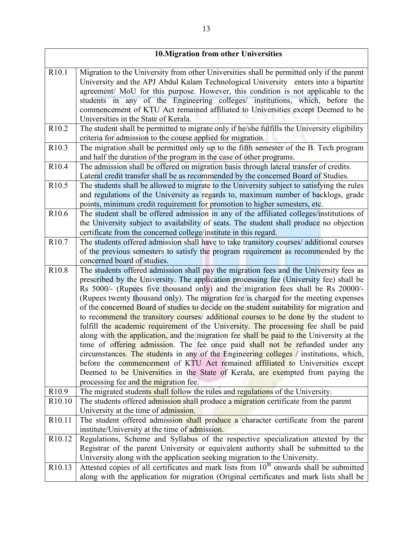| <b>10. Migration from other Universities</b> |                                                                                                                                                                                  |  |
|----------------------------------------------|----------------------------------------------------------------------------------------------------------------------------------------------------------------------------------|--|
| R <sub>10.1</sub>                            | Migration to the University from other Universities shall be permitted only if the parent                                                                                        |  |
|                                              | University and the APJ Abdul Kalam Technological University enters into a bipartite                                                                                              |  |
|                                              | agreement/ MoU for this purpose. However, this condition is not applicable to the                                                                                                |  |
|                                              | students in any of the Engineering colleges/ institutions, which, before the                                                                                                     |  |
|                                              | commencement of KTU Act remained affiliated to Universities except Deemed to be                                                                                                  |  |
|                                              | Universities in the State of Kerala.                                                                                                                                             |  |
| R <sub>10.2</sub>                            | The student shall be permitted to migrate only if he/she fulfills the University eligibility                                                                                     |  |
|                                              | criteria for admission to the course applied for migration.                                                                                                                      |  |
| R <sub>10.3</sub>                            | The migration shall be permitted only up to the fifth semester of the B. Tech program                                                                                            |  |
|                                              | and half the duration of the program in the case of other programs.                                                                                                              |  |
| R10.4                                        | The admission shall be offered on migration basis through lateral transfer of credits.                                                                                           |  |
|                                              | Lateral credit transfer shall be as recommended by the concerned Board of Studies.                                                                                               |  |
| R <sub>10.5</sub>                            | The students shall be allowed to migrate to the University subject to satisfying the rules                                                                                       |  |
|                                              | and regulations of the University as regards to, maximum number of backlogs, grade                                                                                               |  |
|                                              | points, minimum credit requirement for promotion to higher semesters, etc.                                                                                                       |  |
| R <sub>10.6</sub>                            | The student shall be offered admission in any of the affiliated colleges/institutions of                                                                                         |  |
|                                              | the University subject to availability of seats. The student shall produce no objection                                                                                          |  |
|                                              | certificate from the concerned college/institute in this regard.                                                                                                                 |  |
| R10.7                                        | The students offered admission shall have to take transitory courses/ additional courses                                                                                         |  |
|                                              | of the previous semesters to satisfy the program requirement as recommended by the                                                                                               |  |
|                                              | concerned board of studies.                                                                                                                                                      |  |
| R <sub>10.8</sub>                            | The students offered admission shall pay the migration fees and the University fees as                                                                                           |  |
|                                              | prescribed by the University. The application processing fee (University fee) shall be                                                                                           |  |
|                                              | Rs 5000/- (Rupees five thousand only) and the migration fees shall be Rs 20000/-                                                                                                 |  |
|                                              | (Rupees twenty thousand only). The migration fee is charged for the meeting expenses<br>of the concerned Board of studies to decide on the student suitability for migration and |  |
|                                              | to recommend the transitory courses/ additional courses to be done by the student to                                                                                             |  |
|                                              | fulfill the academic requirement of the University. The processing fee shall be paid                                                                                             |  |
|                                              | along with the application, and the migration fee shall be paid to the University at the                                                                                         |  |
|                                              | time of offering admission. The fee once paid shall not be refunded under any                                                                                                    |  |
|                                              | circumstances. The students in any of the Engineering colleges / institutions, which,                                                                                            |  |
|                                              | before the commencement of KTU Act remained affiliated to Universities except                                                                                                    |  |
|                                              | Deemed to be Universities in the State of Kerala, are exempted from paying the                                                                                                   |  |
|                                              | processing fee and the migration fee.                                                                                                                                            |  |
| R10.9                                        | The migrated students shall follow the rules and regulations of the University.                                                                                                  |  |
| R <sub>10.10</sub>                           | The students offered admission shall produce a migration certificate from the parent                                                                                             |  |
|                                              | University at the time of admission.                                                                                                                                             |  |
| R <sub>10.11</sub>                           | The student offered admission shall produce a character certificate from the parent                                                                                              |  |
|                                              | institute/University at the time of admission.                                                                                                                                   |  |
| R <sub>10.12</sub>                           | Regulations, Scheme and Syllabus of the respective specialization attested by the                                                                                                |  |
|                                              | Registrar of the parent University or equivalent authority shall be submitted to the                                                                                             |  |
|                                              | University along with the application seeking migration to the University.                                                                                                       |  |
| R <sub>10.13</sub>                           | Attested copies of all certificates and mark lists from 10 <sup>th</sup> onwards shall be submitted                                                                              |  |
|                                              | along with the application for migration (Original certificates and mark lists shall be                                                                                          |  |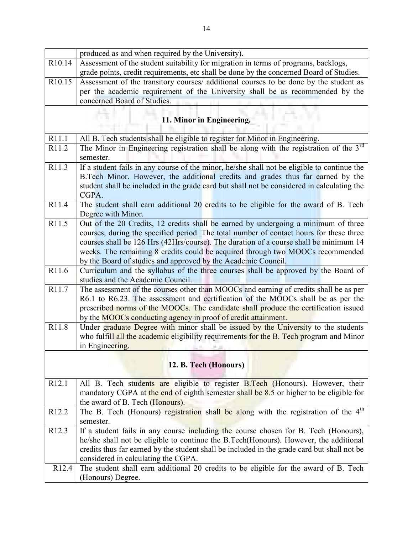|                           | produced as and when required by the University).                                                                                                                                                                                                                                                                                                                                                                         |  |
|---------------------------|---------------------------------------------------------------------------------------------------------------------------------------------------------------------------------------------------------------------------------------------------------------------------------------------------------------------------------------------------------------------------------------------------------------------------|--|
| R10.14                    | Assessment of the student suitability for migration in terms of programs, backlogs,                                                                                                                                                                                                                                                                                                                                       |  |
|                           | grade points, credit requirements, etc shall be done by the concerned Board of Studies.                                                                                                                                                                                                                                                                                                                                   |  |
| R <sub>10.15</sub>        | Assessment of the transitory courses/ additional courses to be done by the student as                                                                                                                                                                                                                                                                                                                                     |  |
|                           | per the academic requirement of the University shall be as recommended by the                                                                                                                                                                                                                                                                                                                                             |  |
|                           | concerned Board of Studies.                                                                                                                                                                                                                                                                                                                                                                                               |  |
| 11. Minor in Engineering. |                                                                                                                                                                                                                                                                                                                                                                                                                           |  |
| R11.1                     | All B. Tech students shall be eligible to register for Minor in Engineering.                                                                                                                                                                                                                                                                                                                                              |  |
| R11.2                     | The Minor in Engineering registration shall be along with the registration of the $3rd$                                                                                                                                                                                                                                                                                                                                   |  |
|                           | semester.                                                                                                                                                                                                                                                                                                                                                                                                                 |  |
| R11.3                     | If a student fails in any course of the minor, he/she shall not be eligible to continue the<br>B.Tech Minor. However, the additional credits and grades thus far earned by the<br>student shall be included in the grade card but shall not be considered in calculating the<br>CGPA.                                                                                                                                     |  |
| R11.4                     | The student shall earn additional 20 credits to be eligible for the award of B. Tech<br>Degree with Minor.                                                                                                                                                                                                                                                                                                                |  |
| R11.5                     | Out of the 20 Credits, 12 credits shall be earned by undergoing a minimum of three<br>courses, during the specified period. The total number of contact hours for these three<br>courses shall be 126 Hrs (42Hrs/course). The duration of a course shall be minimum 14<br>weeks. The remaining 8 credits could be acquired through two MOOCs recommended<br>by the Board of studies and approved by the Academic Council. |  |
| R11.6                     | Curriculum and the syllabus of the three courses shall be approved by the Board of<br>studies and the Academic Council.                                                                                                                                                                                                                                                                                                   |  |
| R11.7                     | The assessment of the courses other than MOOCs and earning of credits shall be as per<br>R6.1 to R6.23. The assessment and certification of the MOOCs shall be as per the<br>prescribed norms of the MOOCs. The candidate shall produce the certification issued<br>by the MOOCs conducting agency in proof of credit attainment.                                                                                         |  |
| R11.8                     | Under graduate Degree with minor shall be issued by the University to the students<br>who fulfill all the academic eligibility requirements for the B. Tech program and Minor<br>in Engineering.                                                                                                                                                                                                                          |  |
| 12. B. Tech (Honours)     |                                                                                                                                                                                                                                                                                                                                                                                                                           |  |
| R <sub>12.1</sub>         | All B. Tech students are eligible to register B.Tech (Honours). However, their<br>mandatory CGPA at the end of eighth semester shall be 8.5 or higher to be eligible for<br>the award of B. Tech (Honours).                                                                                                                                                                                                               |  |
| R <sub>12.2</sub>         | The B. Tech (Honours) registration shall be along with the registration of the 4 <sup>th</sup><br>semester.                                                                                                                                                                                                                                                                                                               |  |
| R <sub>12.3</sub>         | If a student fails in any course including the course chosen for B. Tech (Honours),<br>he/she shall not be eligible to continue the B.Tech(Honours). However, the additional<br>credits thus far earned by the student shall be included in the grade card but shall not be<br>considered in calculating the CGPA.                                                                                                        |  |
| R <sub>12.4</sub>         | The student shall earn additional 20 credits to be eligible for the award of B. Tech<br>(Honours) Degree.                                                                                                                                                                                                                                                                                                                 |  |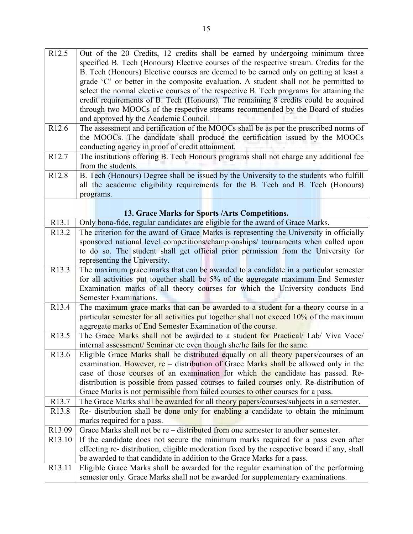| R <sub>12.5</sub>  | Out of the 20 Credits, 12 credits shall be earned by undergoing minimum three               |
|--------------------|---------------------------------------------------------------------------------------------|
|                    | specified B. Tech (Honours) Elective courses of the respective stream. Credits for the      |
|                    | B. Tech (Honours) Elective courses are deemed to be earned only on getting at least a       |
|                    | grade 'C' or better in the composite evaluation. A student shall not be permitted to        |
|                    | select the normal elective courses of the respective B. Tech programs for attaining the     |
|                    | credit requirements of B. Tech (Honours). The remaining 8 credits could be acquired         |
|                    | through two MOOCs of the respective streams recommended by the Board of studies             |
|                    | and approved by the Academic Council.                                                       |
|                    |                                                                                             |
| R <sub>12.6</sub>  | The assessment and certification of the MOOCs shall be as per the prescribed norms of       |
|                    | the MOOCs. The candidate shall produce the certification issued by the MOOCs                |
|                    | conducting agency in proof of credit attainment.                                            |
| R <sub>12.7</sub>  | The institutions offering B. Tech Honours programs shall not charge any additional fee      |
|                    | from the students.                                                                          |
| R <sub>12.8</sub>  | B. Tech (Honours) Degree shall be issued by the University to the students who fulfill      |
|                    | all the academic eligibility requirements for the B. Tech and B. Tech (Honours)             |
|                    | programs.                                                                                   |
|                    |                                                                                             |
|                    | 13. Grace Marks for Sports / Arts Competitions.                                             |
| R13.1              | Only bona-fide, regular candidates are eligible for the award of Grace Marks.               |
| R <sub>13.2</sub>  | The criterion for the award of Grace Marks is representing the University in officially     |
|                    | sponsored national level competitions/championships/ tournaments when called upon           |
|                    | to do so. The student shall get official prior permission from the University for           |
|                    | representing the University.                                                                |
| R <sub>13.3</sub>  | The maximum grace marks that can be awarded to a candidate in a particular semester         |
|                    | for all activities put together shall be 5% of the aggregate maximum End Semester           |
|                    | Examination marks of all theory courses for which the University conducts End               |
|                    | Semester Examinations.                                                                      |
| R13.4              | The maximum grace marks that can be awarded to a student for a theory course in a           |
|                    | particular semester for all activities put together shall not exceed 10% of the maximum     |
|                    |                                                                                             |
|                    |                                                                                             |
|                    | aggregate marks of End Semester Examination of the course.                                  |
| R13.5              | The Grace Marks shall not be awarded to a student for Practical/ Lab/ Viva Voce/            |
|                    | internal assessment/Seminar etc even though she/he fails for the same.                      |
| R <sub>13.6</sub>  | Eligible Grace Marks shall be distributed equally on all theory papers/courses of an        |
|                    | examination. However, re – distribution of Grace Marks shall be allowed only in the         |
|                    | case of those courses of an examination for which the candidate has passed. Re-             |
|                    | distribution is possible from passed courses to failed courses only. Re-distribution of     |
|                    | Grace Marks is not permissible from failed courses to other courses for a pass.             |
| R <sub>13.7</sub>  | The Grace Marks shall be awarded for all theory papers/courses/subjects in a semester.      |
| R <sub>13.8</sub>  | Re- distribution shall be done only for enabling a candidate to obtain the minimum          |
|                    | marks required for a pass.                                                                  |
| R13.09             | Grace Marks shall not be $re$ – distributed from one semester to another semester.          |
| R <sub>13.10</sub> | If the candidate does not secure the minimum marks required for a pass even after           |
|                    | effecting re- distribution, eligible moderation fixed by the respective board if any, shall |
|                    | be awarded to that candidate in addition to the Grace Marks for a pass.                     |
| R <sub>13.11</sub> | Eligible Grace Marks shall be awarded for the regular examination of the performing         |